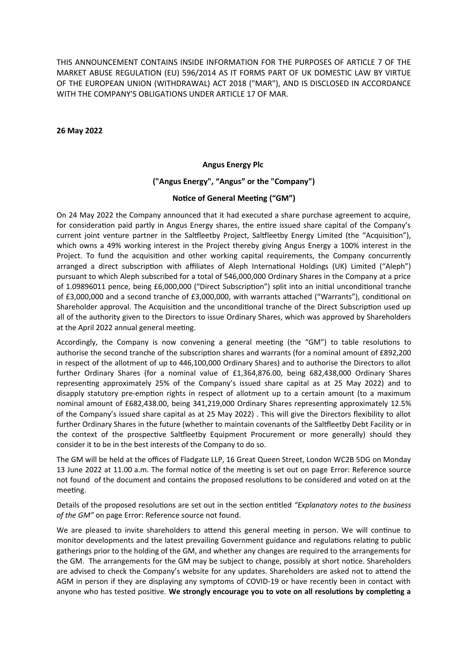THIS ANNOUNCEMENT CONTAINS INSIDE INFORMATION FOR THE PURPOSES OF ARTICLE 7 OF THE MARKET ABUSE REGULATION (EU) 596/2014 AS IT FORMS PART OF UK DOMESTIC LAW BY VIRTUE OF THE EUROPEAN UNION (WITHDRAWAL) ACT 2018 ("MAR"), AND IS DISCLOSED IN ACCORDANCE WITH THE COMPANY'S OBLIGATIONS UNDER ARTICLE 17 OF MAR.

**26 May 2022**

### **Angus Energy Plc**

### **("Angus Energy", "Angus" or the "Company")**

### **Notice of General Meeting ("GM")**

On 24 May 2022 the Company announced that it had executed a share purchase agreement to acquire, for consideration paid partly in Angus Energy shares, the entire issued share capital of the Company's current joint venture partner in the Saltfleetby Project, Saltfleetby Energy Limited (the "Acquisition"), which owns a 49% working interest in the Project thereby giving Angus Energy a 100% interest in the Project. To fund the acquisition and other working capital requirements, the Company concurrently arranged a direct subscription with affiliates of Aleph International Holdings (UK) Limited ("Aleph") pursuant to which Aleph subscribed for a total of 546,000,000 Ordinary Shares in the Company at a price of 1.09896011 pence, being £6,000,000 ("Direct Subscription") split into an initial unconditional tranche of £3,000,000 and a second tranche of £3,000,000, with warrants attached ("Warrants"), conditional on Shareholder approval. The Acquisition and the unconditional tranche of the Direct Subscription used up all of the authority given to the Directors to issue Ordinary Shares, which was approved by Shareholders at the April 2022 annual general meeting.

Accordingly, the Company is now convening a general meeting (the "GM") to table resolutions to authorise the second tranche of the subscription shares and warrants (for a nominal amount of £892,200 in respect of the allotment of up to 446,100,000 Ordinary Shares) and to authorise the Directors to allot further Ordinary Shares (for a nominal value of £1,364,876.00, being 682,438,000 Ordinary Shares representing approximately 25% of the Company's issued share capital as at 25 May 2022) and to disapply statutory pre-emption rights in respect of allotment up to a certain amount (to a maximum nominal amount of £682,438.00, being 341,219,000 Ordinary Shares representing approximately 12.5% of the Company's issued share capital as at 25 May 2022) . This will give the Directors flexibility to allot further Ordinary Shares in the future (whether to maintain covenants of the Saltfleetby Debt Facility or in the context of the prospective Saltfleetby Equipment Procurement or more generally) should they consider it to be in the best interests of the Company to do so.

The GM will be held at the offices of Fladgate LLP, 16 Great Queen Street, London WC2B 5DG on Monday 13 June 2022 at 11.00 a.m. The formal notice of the meeting is set out on page Error: Reference source not found of the document and contains the proposed resolutions to be considered and voted on at the meeting.

Details of the proposed resolutions are set out in the section entitled "Explanatory notes to the business" *of the GM"* on page Error: Reference source not found.

We are pleased to invite shareholders to attend this general meeting in person. We will continue to monitor developments and the latest prevailing Government guidance and regulations relating to public gatherings prior to the holding of the GM, and whether any changes are required to the arrangements for the GM. The arrangements for the GM may be subject to change, possibly at short notice. Shareholders are advised to check the Company's website for any updates. Shareholders are asked not to attend the AGM in person if they are displaying any symptoms of COVID-19 or have recently been in contact with anyone who has tested positive. We strongly encourage you to vote on all resolutions by completing a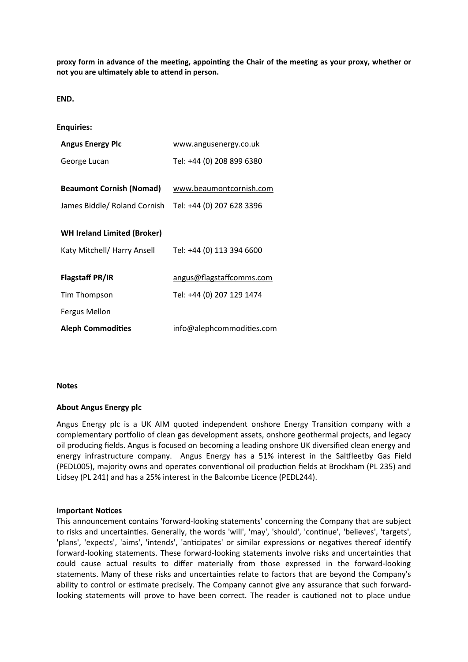**proxy form in advance of the meeƟng, appoinƟng the Chair of the meeƟng as your proxy, whether or not you are ulƟmately able to aƩend in person.**

**END.**

| <b>Enquiries:</b>                                                 |                           |
|-------------------------------------------------------------------|---------------------------|
| <b>Angus Energy Plc</b>                                           | www.angusenergy.co.uk     |
| George Lucan                                                      | Tel: +44 (0) 208 899 6380 |
| <b>Beaumont Cornish (Nomad)</b>                                   | www.beaumontcornish.com   |
| James Biddle/ Roland Cornish                                      | Tel: +44 (0) 207 628 3396 |
| <b>WH Ireland Limited (Broker)</b><br>Katy Mitchell/ Harry Ansell | Tel: +44 (0) 113 394 6600 |
| <b>Flagstaff PR/IR</b>                                            | angus@flagstaffcomms.com  |
| Tim Thompson                                                      | Tel: +44 (0) 207 129 1474 |
| Fergus Mellon                                                     |                           |
| <b>Aleph Commodities</b>                                          | info@alephcommodities.com |

## **Notes**

# **About Angus Energy plc**

Angus Energy plc is a UK AIM quoted independent onshore Energy Transition company with a complementary portfolio of clean gas development assets, onshore geothermal projects, and legacy oil producing fields. Angus is focused on becoming a leading onshore UK diversified clean energy and energy infrastructure company. Angus Energy has a 51% interest in the Saltfleetby Gas Field (PEDL005), majority owns and operates conventional oil production fields at Brockham (PL 235) and Lidsey (PL 241) and has a 25% interest in the Balcombe Licence (PEDL244).

### **Important Notices**

This announcement contains 'forward-looking statements' concerning the Company that are subject to risks and uncertainties. Generally, the words 'will', 'may', 'should', 'continue', 'believes', 'targets', 'plans', 'expects', 'aims', 'intends', 'anticipates' or similar expressions or negatives thereof identify forward-looking statements. These forward-looking statements involve risks and uncertainties that could cause actual results to differ materially from those expressed in the forward-looking statements. Many of these risks and uncertainties relate to factors that are beyond the Company's ability to control or estimate precisely. The Company cannot give any assurance that such forwardlooking statements will prove to have been correct. The reader is cautioned not to place undue